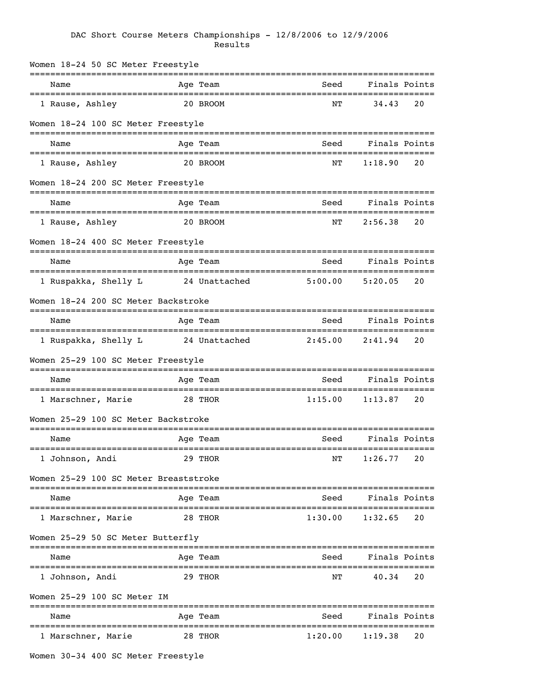## DAC Short Course Meters Championships - 12/8/2006 to 12/9/2006 Results

| Women 18-24 50 SC Meter Freestyle                          |               |                                    |                       |               |
|------------------------------------------------------------|---------------|------------------------------------|-----------------------|---------------|
| Name<br>=====================================              | Age Team      | Seed<br>---------------------      | ----------------      | Finals Points |
| 1 Rause, Ashley                                            | 20 BROOM      | ΝT                                 | 34.43                 | 20            |
| Women 18-24 100 SC Meter Freestyle                         |               |                                    |                       |               |
| Name                                                       | Age Team      | Seed                               | Finals Points         |               |
| 1 Rause, Ashley                                            | 20 BROOM      | ΝT                                 | 1:18.90               | 20            |
| Women 18-24 200 SC Meter Freestyle                         |               |                                    |                       |               |
| Name                                                       | Age Team      | Seed                               | Finals Points         |               |
| 1 Rause, Ashley                                            | 20 BROOM      | NΤ                                 | 2:56.38               | 20            |
| Women 18-24 400 SC Meter Freestyle                         |               |                                    |                       |               |
| Name                                                       | Age Team      | Seed                               | Finals Points         |               |
| 1 Ruspakka, Shelly L                                       | 24 Unattached | 5:00.00                            | 5:20.05               | 20            |
| Women 18-24 200 SC Meter Backstroke                        |               |                                    |                       |               |
| Name                                                       | Age Team      | Seed                               | Finals Points         |               |
| 1 Ruspakka, Shelly L                                       | 24 Unattached | 2:45.00                            | 2:41.94               | 20            |
| Women 25-29 100 SC Meter Freestyle                         |               |                                    |                       |               |
| Name                                                       | Age Team      | Seed                               | Finals Points         |               |
| ====================================<br>1 Marschner, Marie | 28 THOR       | -----------------------<br>1:15.00 | ==========<br>1:13.87 | 20            |
| Women 25-29 100 SC Meter Backstroke                        |               |                                    |                       |               |
| Name                                                       | Age Team      | Seed                               |                       | Finals Points |
| 1 Johnson, Andi                                            | 29 THOR       | ΝT                                 | 1:26.77               | 20            |
| Women 25-29 100 SC Meter Breaststroke                      |               |                                    |                       |               |
| Name                                                       | Age Team      | Seed                               |                       | Finals Points |
| ----------------------<br>1 Marschner, Marie               | 28 THOR       | 1:30.00                            | 1:32.65               | 20            |
| Women 25-29 50 SC Meter Butterfly                          |               |                                    |                       |               |
| Name                                                       | Age Team      | Seed                               |                       | Finals Points |
| 1 Johnson, Andi                                            | 29 THOR       | ΝT                                 | 40.34                 | 20            |
| Women 25-29 100 SC Meter IM                                |               |                                    |                       |               |
| Name                                                       | Age Team      | Seed                               | ------------------    | Finals Points |
| 1 Marschner, Marie                                         | 28 THOR       | 1:20.00                            | 1:19.38               | 20            |
|                                                            |               |                                    |                       |               |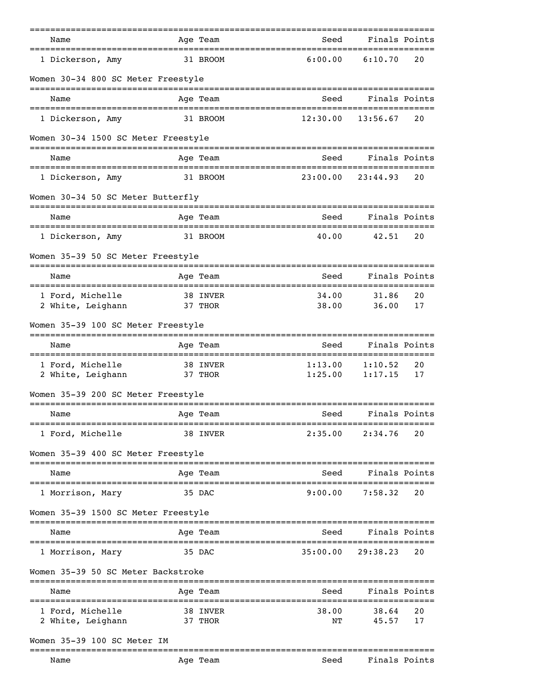| Name                                         | Age Team | Seed                          | Finals Points               |               |
|----------------------------------------------|----------|-------------------------------|-----------------------------|---------------|
| 1 Dickerson, Amy                             | 31 BROOM | 6:00.00                       | 6:10.70                     | 20            |
| Women 30-34 800 SC Meter Freestyle           |          |                               |                             |               |
| Name                                         | Age Team | Seed                          | Finals Points               |               |
| 1 Dickerson, Amy                             | 31 BROOM | 12:30.00                      | 13:56.67                    | 20            |
| Women 30-34 1500 SC Meter Freestyle          |          |                               |                             |               |
| Name                                         | Age Team | Seed                          | Finals Points               |               |
| 1 Dickerson, Amy                             | 31 BROOM | 23:00.00                      | 23:44.93                    | 20            |
| Women 30-34 50 SC Meter Butterfly            |          |                               |                             |               |
| Name                                         | Age Team | Seed                          | Finals Points               |               |
| 1 Dickerson, Amy                             | 31 BROOM | 40.00                         | 42.51                       | 20            |
| Women 35-39 50 SC Meter Freestyle            |          |                               |                             |               |
| Name                                         | Age Team | Seed                          | Finals Points               |               |
| 1 Ford, Michelle                             | 38 INVER | 34.00                         | 31.86                       | 20            |
| 2 White, Leighann                            | 37 THOR  | 38.00                         | 36.00                       | 17            |
| Women 35-39 100 SC Meter Freestyle           |          |                               |                             |               |
| Name<br>==================================== | Age Team | Seed<br>===================== | Finals Points<br>========== |               |
| 1 Ford, Michelle                             | 38 INVER | 1:13.00                       | 1:10.52                     | 20            |
| 2 White, Leighann                            | 37 THOR  | 1:25.00                       | 1:17.15                     | 17            |
| Women 35-39 200 SC Meter Freestyle           |          |                               |                             |               |
| Name                                         | Age Team | Seed                          | Finals Points               |               |
| 1 Ford, Michelle                             | 38 INVER | 2:35.00                       | 2:34.76                     | 20            |
| Women 35-39 400 SC Meter Freestyle           |          |                               |                             |               |
| Name                                         | Aqe Team | Seed                          |                             | Finals Points |
| 1 Morrison, Mary                             | 35 DAC   | 9:00.00                       | 7:58.32                     | 20            |
| Women 35-39 1500 SC Meter Freestyle          |          |                               |                             |               |
| Name                                         | Age Team | Seed                          |                             | Finals Points |
| 1 Morrison, Mary                             | 35 DAC   | 35:00.00                      | 29:38.23                    | 20            |
| Women 35-39 50 SC Meter Backstroke           |          |                               |                             |               |
| Name                                         | Age Team | Seed                          | Finals Points               |               |
| 1 Ford, Michelle                             | 38 INVER | 38.00                         | =================<br>38.64  | 20            |
| 2 White, Leighann                            | 37 THOR  | NΤ                            | 45.57                       | 17            |
| Women 35-39 100 SC Meter IM                  |          |                               |                             |               |
| Name                                         | Age Team | Seed                          | Finals Points               |               |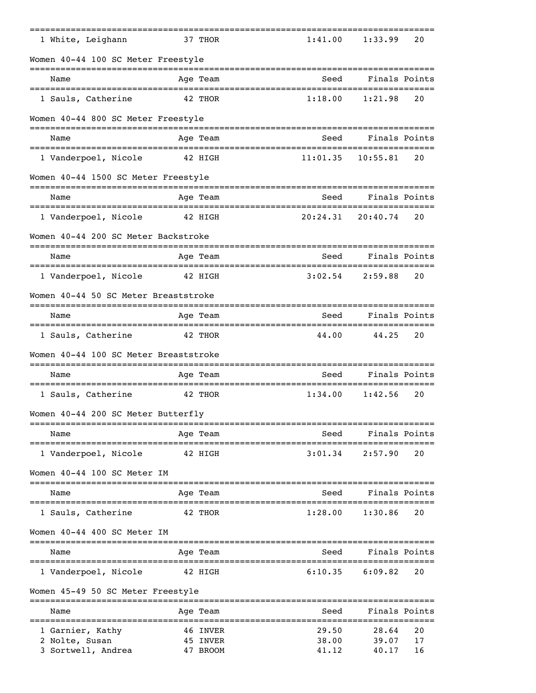| 1 White, Leighann                                                    | 37 THOR  | 1:41.00  | 1:33.99       | 20 |
|----------------------------------------------------------------------|----------|----------|---------------|----|
| Women 40-44 100 SC Meter Freestyle<br>______________________________ |          |          |               |    |
| Name                                                                 | Age Team | Seed     | Finals Points |    |
| 1 Sauls, Catherine                                                   | 42 THOR  | 1:18.00  | 1:21.98       | 20 |
| Women 40-44 800 SC Meter Freestyle                                   |          |          |               |    |
| Name                                                                 | Age Team | Seed     | Finals Points |    |
| 1 Vanderpoel, Nicole                                                 | 42 HIGH  | 11:01.35 | 10:55.81      | 20 |
| Women 40-44 1500 SC Meter Freestyle                                  |          |          |               |    |
| Name                                                                 | Age Team | Seed     | Finals Points |    |
| 1 Vanderpoel, Nicole                                                 | 42 HIGH  | 20:24.31 | 20:40.74      | 20 |
| Women 40-44 200 SC Meter Backstroke                                  |          |          |               |    |
| Name                                                                 | Age Team | Seed     | Finals Points |    |
| 1 Vanderpoel, Nicole                                                 | 42 HIGH  | 3:02.54  | 2:59.88       | 20 |
| Women 40-44 50 SC Meter Breaststroke                                 |          |          |               |    |
| Name                                                                 | Age Team | Seed     | Finals Points |    |
| 1 Sauls, Catherine                                                   | 42 THOR  | 44.00    | 44.25         | 20 |
| Women 40-44 100 SC Meter Breaststroke                                |          |          |               |    |
| Name                                                                 | Age Team | Seed     | Finals Points |    |
| 1 Sauls, Catherine                                                   | 42 THOR  | 1:34.00  | 1:42.56       | 20 |
| Women 40-44 200 SC Meter Butterfly                                   |          |          |               |    |
| Name                                                                 | Age Team | Seed     | Finals Points |    |
| 1 Vanderpoel, Nicole                                                 | 42 HIGH  | 3:01.34  | 2:57.90       | 20 |
| Women 40-44 100 SC Meter IM                                          |          |          |               |    |
| Name                                                                 | Age Team | Seed     | Finals Points |    |
| 1 Sauls, Catherine                                                   | 42 THOR  | 1:28.00  | 1:30.86       | 20 |
| Women 40-44 400 SC Meter IM                                          |          |          |               |    |
| Name                                                                 | Age Team | Seed     | Finals Points |    |
| 1 Vanderpoel, Nicole                                                 | 42 HIGH  | 6:10.35  | 6:09.82       | 20 |
| Women 45-49 50 SC Meter Freestyle                                    |          |          |               |    |
| Name                                                                 | Age Team | Seed     | Finals Points |    |
| 1 Garnier, Kathy                                                     | 46 INVER | 29.50    | 28.64         | 20 |
| 2 Nolte, Susan                                                       | 45 INVER | 38.00    | 39.07         | 17 |
| 3 Sortwell, Andrea                                                   | 47 BROOM | 41.12    | 40.17         | 16 |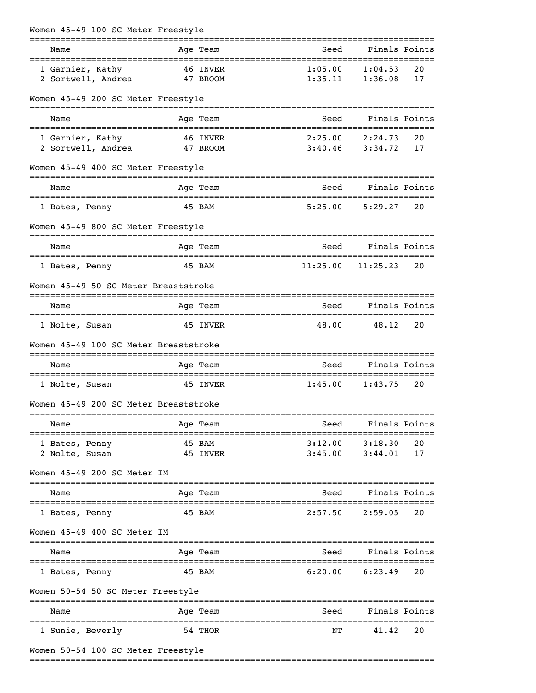| Women 45-49 100 SC Meter Freestyle                                    |          |                      |                             |                                |          |
|-----------------------------------------------------------------------|----------|----------------------|-----------------------------|--------------------------------|----------|
| Name                                                                  |          | Age Team             | Seed                        | Finals Points                  |          |
| 1 Garnier, Kathy<br>2 Sortwell, Andrea                                |          | 46 INVER<br>47 BROOM | 1:05.00<br>1:35.11          | 1:04.53<br>1:36.08             | 20<br>17 |
| Women 45-49 200 SC Meter Freestyle                                    |          |                      |                             |                                |          |
| Name                                                                  |          | Age Team             | Seed                        | Finals Points                  |          |
| 1 Garnier, Kathy<br>2 Sortwell, Andrea                                | 47 BROOM | 46 INVER             | 2:25.00                     | 2:24.73<br>$3:40.46$ $3:34.72$ | 20<br>17 |
| Women 45-49 400 SC Meter Freestyle                                    |          |                      |                             |                                |          |
| Name                                                                  |          | Age Team             | Seed                        | Finals Points                  |          |
| 1 Bates, Penny                                                        |          | 45 BAM               | 5:25.00                     | 5:29.27                        | 20       |
| Women 45-49 800 SC Meter Freestyle                                    |          |                      |                             |                                |          |
| Name                                                                  |          | Age Team             | Seed                        | Finals Points                  |          |
| 1 Bates, Penny                                                        |          | 45 BAM               | 11:25.00                    | 11:25.23                       | 20       |
| Women 45-49 50 SC Meter Breaststroke                                  |          |                      |                             |                                |          |
| Name                                                                  |          | Age Team             | Seed                        | Finals Points                  |          |
| 1 Nolte, Susan                                                        | 45 INVER |                      | 48.00                       | 48.12                          | 20       |
| Women 45-49 100 SC Meter Breaststroke                                 |          |                      |                             |                                |          |
| Name                                                                  |          | Age Team             | Seed                        | Finals Points                  |          |
| 1 Nolte, Susan                                                        |          | 45 INVER             | 1:45.00                     | 1:43.75                        | 20       |
| Women 45-49 200 SC Meter Breaststroke                                 |          |                      |                             |                                |          |
| Name                                                                  |          | Age Team             | Seed                        | Finals Points                  |          |
| ===========================<br>1 Bates, Penny                         |          | 45 BAM               | ================<br>3:12.00 | 3:18.30                        | 20       |
| 2 Nolte, Susan                                                        |          | 45 INVER             | 3:45.00                     | 3:44.01                        | 17       |
| Women 45-49 200 SC Meter IM<br>====================================== |          |                      |                             |                                |          |
| Name                                                                  |          | Age Team             | Seed                        | Finals Points                  |          |
| 1 Bates, Penny                                                        |          | 45 BAM               | 2:57.50                     | 2:59.05                        | 20       |
| Women 45-49 400 SC Meter IM                                           |          |                      |                             |                                |          |
| Name                                                                  |          | Age Team             | Seed                        | Finals Points                  |          |
| 1 Bates, Penny                                                        |          | 45 BAM               | 6:20.00                     | 6:23.49                        | 20       |
| Women 50-54 50 SC Meter Freestyle                                     |          |                      |                             |                                |          |
| Name                                                                  |          | Age Team             | Seed                        | Finals Points                  |          |
| 1 Sunie, Beverly                                                      |          | 54 THOR              | NΤ                          | 41.42                          | 20       |
| Women 50-54 100 SC Meter Freestyle                                    |          |                      |                             |                                |          |

===============================================================================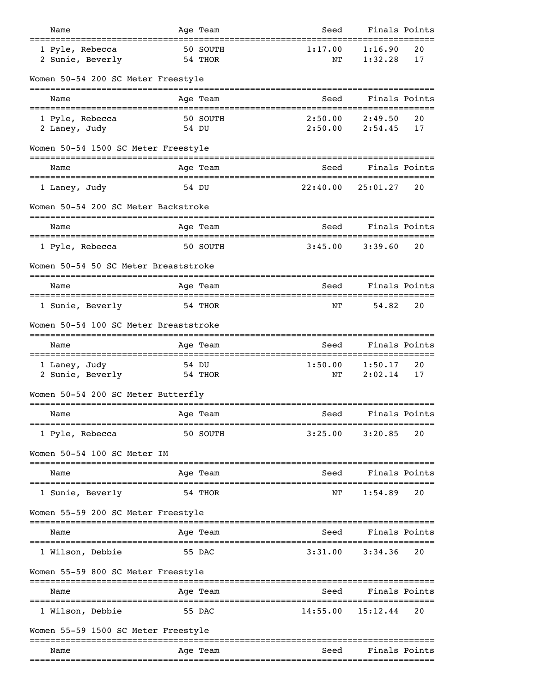| Name                                     |       | Age Team            | Seed                            | Finals Points                        |               |
|------------------------------------------|-------|---------------------|---------------------------------|--------------------------------------|---------------|
| 1 Pyle, Rebecca<br>2 Sunie, Beverly      |       | 50 SOUTH<br>54 THOR | 1:17.00<br>NΤ                   | 1:16.90<br>1:32.28                   | 20<br>17      |
| Women 50-54 200 SC Meter Freestyle       |       |                     |                                 |                                      |               |
| Name                                     |       | Age Team            | Seed                            |                                      | Finals Points |
| 1 Pyle, Rebecca<br>2 Laney, Judy         | 54 DU | 50 SOUTH            | 2:50.00<br>2:50.00              | 2:49.50<br>2:54.45                   | 20<br>17      |
| Women 50-54 1500 SC Meter Freestyle      |       |                     |                                 |                                      |               |
| Name                                     |       | Age Team            | Seed                            | Finals Points                        |               |
| 1 Laney, Judy                            | 54 DU |                     | 22:40.00                        | 25:01.27                             | 20            |
| Women 50-54 200 SC Meter Backstroke      |       |                     |                                 |                                      |               |
| Name                                     |       | Age Team            | Seed                            | Finals Points<br>=================   |               |
| 1 Pyle, Rebecca                          |       | 50 SOUTH            | 3:45.00                         | 3:39.60                              | 20            |
| Women 50-54 50 SC Meter Breaststroke     |       |                     |                                 |                                      |               |
| Name                                     |       | Age Team            | Seed                            |                                      | Finals Points |
| 1 Sunie, Beverly                         |       | 54 THOR             | ΝT                              | 54.82                                | 20            |
| Women 50-54 100 SC Meter Breaststroke    |       |                     |                                 |                                      |               |
| Name<br>================================ |       | Age Team            | Seed<br>:====================== | Finals Points<br>=================== |               |
| 1 Laney, Judy<br>2 Sunie, Beverly        | 54 DU | 54 THOR             | 1:50.00<br>NΤ                   | 1:50.17<br>2:02.14                   | 20<br>17      |
| Women 50-54 200 SC Meter Butterfly       |       |                     |                                 |                                      |               |
| Name<br>================                 |       | Age Team            | Seed                            | Finals Points                        |               |
| 1 Pyle, Rebecca                          |       | 50 SOUTH            | 3:25.00                         | 3:20.85                              | 20            |
| Women 50-54 100 SC Meter IM              |       |                     |                                 |                                      |               |
| Name                                     |       | Age Team            | Seed                            | Finals Points                        |               |
| 1 Sunie, Beverly                         |       | 54 THOR             | NΤ                              | 1:54.89                              | 20            |
| Women 55-59 200 SC Meter Freestyle       |       |                     |                                 |                                      |               |
| Name                                     |       | Age Team            | Seed                            |                                      | Finals Points |
| 1 Wilson, Debbie                         |       | 55 DAC              | 3:31.00                         | 3:34.36                              | 20            |
| Women 55-59 800 SC Meter Freestyle       |       |                     |                                 |                                      |               |
| Name                                     |       | Age Team            | Seed                            | Finals Points                        |               |
| 1 Wilson, Debbie                         |       | 55 DAC              | 14:55.00                        | ================<br>15:12.44         | 20            |
| Women 55-59 1500 SC Meter Freestyle      |       |                     |                                 |                                      |               |
| Name                                     |       | Age Team            | Seed                            | Finals Points                        |               |
|                                          |       |                     |                                 |                                      |               |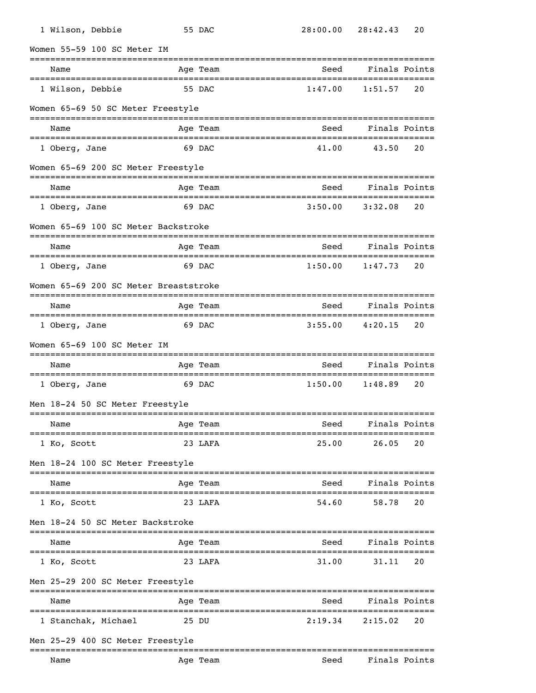| 1 Wilson, Debbie            |                                       | 55 DAC   |                                  | 28:00.00 28:42.43    | 20            |
|-----------------------------|---------------------------------------|----------|----------------------------------|----------------------|---------------|
| Women 55-59 100 SC Meter IM |                                       |          |                                  |                      |               |
| Name                        |                                       | Age Team | Seed                             |                      | Finals Points |
| 1 Wilson, Debbie            |                                       | 55 DAC   | 1:47.00                          | 1:51.57              | 20            |
|                             | Women 65-69 50 SC Meter Freestyle     |          | ================================ |                      |               |
| Name                        |                                       | Age Team | Seed                             |                      | Finals Points |
| 1 Oberg, Jane               |                                       | 69 DAC   | 41.00                            | 43.50                | 20            |
|                             | Women 65-69 200 SC Meter Freestyle    |          |                                  |                      |               |
| Name                        |                                       | Age Team | Seed                             |                      | Finals Points |
| 1 Oberg, Jane               |                                       | 69 DAC   | 3:50.00                          | 3:32.08              | 20            |
|                             | Women 65-69 100 SC Meter Backstroke   |          |                                  |                      |               |
| Name                        |                                       | Age Team | Seed                             |                      | Finals Points |
| 1 Oberg, Jane               |                                       | 69 DAC   | 1:50.00                          | 1:47.73              | 20            |
|                             | Women 65-69 200 SC Meter Breaststroke |          |                                  |                      |               |
| Name                        |                                       | Age Team | Seed                             |                      | Finals Points |
| 1 Oberg, Jane               |                                       | 69 DAC   | 3:55.00                          | 4:20.15              | 20            |
| Women 65-69 100 SC Meter IM |                                       |          |                                  |                      |               |
| Name                        |                                       | Age Team | Seed                             |                      | Finals Points |
| 1 Oberg, Jane               |                                       | 69 DAC   | 1:50.00                          | 1:48.89              | 20            |
|                             | Men 18-24 50 SC Meter Freestyle       |          |                                  |                      |               |
| Name                        |                                       | Age Team | Seed                             |                      | Finals Points |
| 1 Ko, Scott                 |                                       | 23 LAFA  | 25.00                            | -----------<br>26.05 | 20            |
|                             | Men 18-24 100 SC Meter Freestyle      |          |                                  |                      |               |
| Name                        |                                       | Age Team | Seed                             |                      | Finals Points |
| 1 Ko, Scott                 |                                       | 23 LAFA  | 54.60                            | 58.78                | 20            |
|                             | Men 18-24 50 SC Meter Backstroke      |          |                                  |                      |               |
| Name                        |                                       | Age Team | Seed                             |                      | Finals Points |
| 1 Ko, Scott                 |                                       | 23 LAFA  | 31.00                            | 31.11                | 20            |
|                             | Men 25-29 200 SC Meter Freestyle      |          |                                  |                      |               |
| Name                        |                                       | Age Team | Seed                             |                      | Finals Points |
| 1 Stanchak, Michael         | 25 DU                                 |          | 2:19.34                          | 2:15.02              | 20            |
|                             | Men 25-29 400 SC Meter Freestyle      |          |                                  |                      |               |
| Name                        |                                       | Age Team | Seed                             | Finals Points        |               |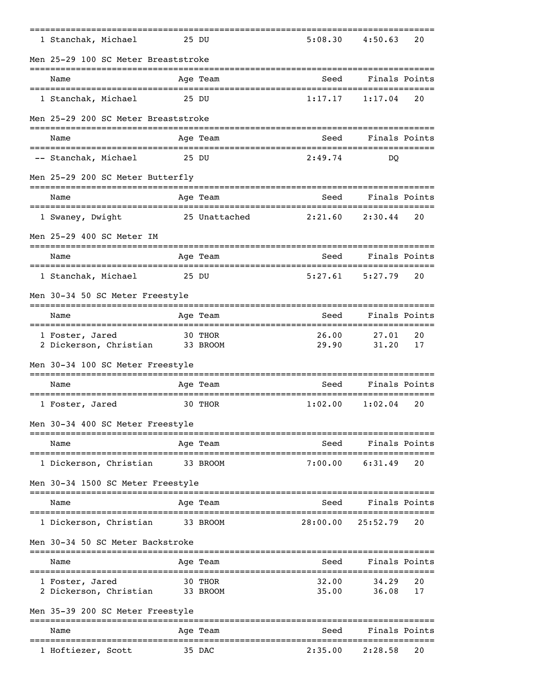| 1 Stanchak, Michael                                             |          | 25 DU         | 5:08.30                                | 4:50.63       | 20 |
|-----------------------------------------------------------------|----------|---------------|----------------------------------------|---------------|----|
| Men 25-29 100 SC Meter Breaststroke<br>------------------------ |          |               | -------------------------------------- |               |    |
| Name                                                            |          | Age Team      | Seed                                   | Finals Points |    |
| 1 Stanchak, Michael                                             |          | 25 DU         | 1:17.17                                | 1:17.04       | 20 |
| Men 25-29 200 SC Meter Breaststroke                             |          |               |                                        |               |    |
| Name                                                            |          | Age Team      | Seed                                   | Finals Points |    |
| -- Stanchak, Michael                                            |          | 25 DU         | 2:49.74                                | DO            |    |
| Men 25-29 200 SC Meter Butterfly                                |          |               |                                        |               |    |
| Name                                                            |          | Age Team      | Seed                                   | Finals Points |    |
| 1 Swaney, Dwight                                                |          | 25 Unattached | 2:21.60                                | 2:30.44       | 20 |
| Men 25-29 400 SC Meter IM                                       |          |               |                                        |               |    |
| Name                                                            |          | Age Team      | Seed                                   | Finals Points |    |
| 1 Stanchak, Michael                                             | 25 DU    |               | 5:27.61                                | 5:27.79       | 20 |
| Men 30-34 50 SC Meter Freestyle                                 |          |               |                                        |               |    |
| Name                                                            |          | Age Team      | Seed                                   | Finals Points |    |
| 1 Foster, Jared                                                 |          | 30 THOR       | 26.00                                  | 27.01         | 20 |
| 2 Dickerson, Christian                                          |          | 33 BROOM      | 29.90                                  | 31.20         | 17 |
| Men 30-34 100 SC Meter Freestyle                                |          |               |                                        |               |    |
| Name                                                            |          | Age Team      | Seed                                   | Finals Points |    |
| 1 Foster, Jared                                                 |          | 30 THOR       | 1:02.00                                | 1:02.04       | 20 |
| Men 30-34 400 SC Meter Freestyle                                |          |               |                                        |               |    |
| Name                                                            |          | Age Team      | Seed                                   | Finals Points |    |
| 1 Dickerson, Christian                                          |          | 33 BROOM      | 7:00.00                                | 6:31.49       | 20 |
| Men 30-34 1500 SC Meter Freestyle                               |          |               |                                        |               |    |
| Name                                                            |          | Age Team      | Seed                                   | Finals Points |    |
| 1 Dickerson, Christian                                          | 33 BROOM |               | 28:00.00                               | 25:52.79      | 20 |
| Men 30-34 50 SC Meter Backstroke                                |          |               |                                        |               |    |
| Name                                                            |          | Age Team      | Seed                                   | Finals Points |    |
| 1 Foster, Jared                                                 |          | 30 THOR       | 32.00                                  | 34.29         | 20 |
| 2 Dickerson, Christian                                          |          | 33 BROOM      | 35.00                                  | 36.08         | 17 |
| Men 35-39 200 SC Meter Freestyle                                |          |               |                                        |               |    |
| Name                                                            |          | Age Team      | Seed                                   | Finals Points |    |
| 1 Hoftiezer, Scott                                              |          | 35 DAC        | 2:35.00                                | 2:28.58       | 20 |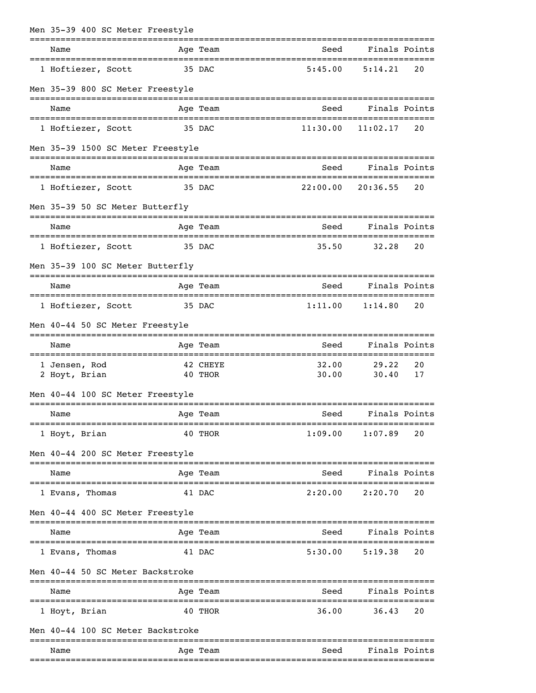| Men 35-39 400 SC Meter Freestyle                   |                     |          |                                            |                                    |    |
|----------------------------------------------------|---------------------|----------|--------------------------------------------|------------------------------------|----|
| Name                                               |                     | Age Team | Seed<br>---------------------------------- | Finals Points<br>================= |    |
| 1 Hoftiezer, Scott                                 |                     | 35 DAC   | 5:45.00                                    | 5:14.21                            | 20 |
| Men 35-39 800 SC Meter Freestyle                   |                     |          |                                            |                                    |    |
| Name                                               |                     | Age Team | Seed                                       | Finals Points                      |    |
| 1 Hoftiezer, Scott                                 |                     | 35 DAC   | 11:30.00                                   | 11:02.17                           | 20 |
| Men 35-39 1500 SC Meter Freestyle                  |                     |          |                                            |                                    |    |
| Name<br>======================================     |                     | Age Team | Seed                                       | Finals Points                      |    |
| 1 Hoftiezer, Scott                                 |                     | 35 DAC   | 22:00.00                                   | 20:36.55                           | 20 |
| Men 35-39 50 SC Meter Butterfly                    |                     |          |                                            | ------------------                 |    |
| Name                                               |                     | Age Team | Seed                                       | Finals Points                      |    |
| 1 Hoftiezer, Scott                                 |                     | 35 DAC   | 35.50                                      | 32.28                              | 20 |
| Men 35-39 100 SC Meter Butterfly                   |                     |          |                                            |                                    |    |
| Name                                               |                     | Age Team | Seed                                       | Finals Points                      |    |
| 1 Hoftiezer, Scott                                 |                     | 35 DAC   | 1:11.00                                    | 1:14.80                            | 20 |
| Men 40-44 50 SC Meter Freestyle                    |                     |          |                                            |                                    |    |
| Name                                               |                     | Age Team | Seed                                       | Finals Points                      |    |
| =================================<br>1 Jensen, Rod |                     | 42 CHEYE | =====================<br>32.00             | =========<br>29.22                 | 20 |
| 2 Hoyt, Brian                                      |                     | 40 THOR  | 30.00                                      | 30.40                              | 17 |
| Men 40-44 100 SC Meter Freestyle                   |                     |          |                                            | -----------------                  |    |
| Name                                               |                     | Age Team | Seed                                       | Finals Points                      |    |
| 1 Hoyt, Brian                                      |                     | 40 THOR  | 1:09.00                                    | 1:07.89                            | 20 |
| Men 40-44 200 SC Meter Freestyle                   |                     |          |                                            |                                    |    |
| Name                                               |                     | Age Team | Seed                                       | Finals Points                      |    |
| 1 Evans, Thomas                                    |                     | 41 DAC   | 2:20.00                                    | 2:20.70                            | 20 |
| Men 40-44 400 SC Meter Freestyle                   |                     |          |                                            |                                    |    |
| Name                                               |                     | Age Team | Seed                                       | Finals Points                      |    |
| 1 Evans, Thomas                                    |                     | 41 DAC   | 5:30.00                                    | 5:19.38                            | 20 |
| Men 40-44 50 SC Meter Backstroke                   | =================== |          |                                            |                                    |    |
| Name                                               |                     | Age Team | Seed                                       | Finals Points                      |    |
| 1 Hoyt, Brian                                      |                     | 40 THOR  | 36.00                                      | 36.43                              | 20 |
| Men 40-44 100 SC Meter Backstroke                  |                     |          |                                            |                                    |    |
| Name                                               |                     | Age Team | Seed                                       | Finals Points                      |    |
|                                                    |                     |          |                                            |                                    |    |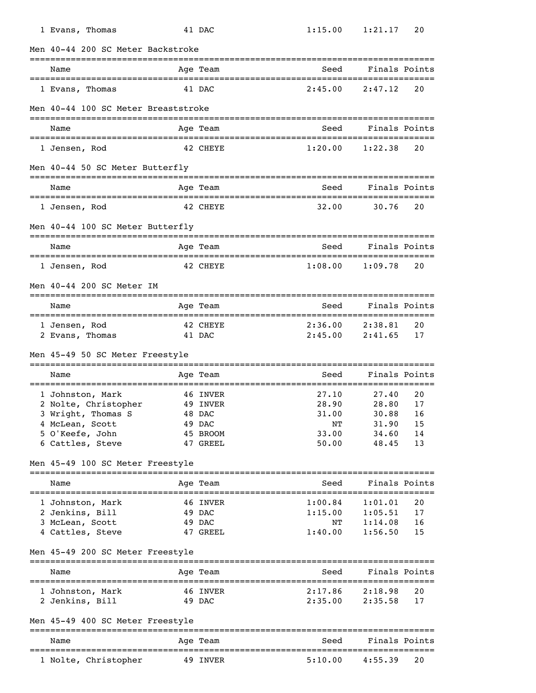| 1 Evans, Thomas                                                | 41 DAC             | 1:15.00            | 1:21.17                              | 20       |
|----------------------------------------------------------------|--------------------|--------------------|--------------------------------------|----------|
| Men 40-44 200 SC Meter Backstroke                              |                    |                    |                                      |          |
| Name                                                           | Age Team           | Seed               | Finals Points                        |          |
| 1 Evans, Thomas                                                | 41 DAC             | 2:45.00            | 2:47.12                              | 20       |
| Men 40-44 100 SC Meter Breaststroke                            |                    |                    |                                      |          |
| Name                                                           | Age Team           | Seed               | Finals Points                        |          |
| 1 Jensen, Rod                                                  | 42 CHEYE           | 1:20.00            | 1:22.38                              | 20       |
| Men 40-44 50 SC Meter Butterfly                                |                    |                    |                                      |          |
| Name                                                           | Age Team           | Seed               | Finals Points                        |          |
| ==================================<br>1 Jensen, Rod            | 42 CHEYE           | 32.00              | 30.76                                | 20       |
| Men 40-44 100 SC Meter Butterfly                               |                    |                    |                                      |          |
| Name                                                           | Age Team           | Seed               | Finals Points                        |          |
| 1 Jensen, Rod                                                  | 42 CHEYE           | 1:08.00            | 1:09.78                              | 20       |
| Men 40-44 200 SC Meter IM                                      |                    |                    |                                      |          |
| Name                                                           | Age Team           | Seed               | Finals Points                        |          |
| 1 Jensen, Rod                                                  | 42 CHEYE           | 2:36.00            | 2:38.81                              | 20       |
| 2 Evans, Thomas                                                | 41 DAC             | 2:45.00            | 2:41.65                              | 17       |
| Men 45-49 50 SC Meter Freestyle                                |                    |                    |                                      |          |
| Name                                                           | Age Team           | Seed               | Finals Points                        |          |
| 1 Johnston, Mark                                               | 46 INVER           | 27.10              | 27.40                                | 20       |
| 2 Nolte, Christopher                                           | 49 INVER           | 28.90              | 28.80                                | 17       |
| 3 Wright, Thomas S                                             | 48 DAC             | 31.00              | 30.88                                | 16       |
| 4 McLean, Scott                                                | 49 DAC             | NΤ                 | 31.90                                | 15       |
| 5 O'Keefe, John                                                | 45 BROOM           | 33.00              | 34.60                                | 14       |
| 6 Cattles, Steve                                               | 47 GREEL           | 50.00              | 48.45                                | 13       |
| Men 45-49 100 SC Meter Freestyle<br>__________________________ |                    |                    |                                      |          |
| Name                                                           | Age Team           | Seed               | Finals Points                        |          |
| 1 Johnston, Mark                                               | 46 INVER           | 1:00.84            | 1:01.01                              | 20       |
| 2 Jenkins, Bill                                                | 49 DAC             | 1:15.00            | 1:05.51                              | 17       |
| 3 McLean, Scott                                                | 49 DAC             | NΤ                 | 1:14.08                              | 16       |
| 4 Cattles, Steve                                               | 47 GREEL           | 1:40.00            | 1:56.50                              | 15       |
| Men 45-49 200 SC Meter Freestyle                               |                    |                    |                                      |          |
| Name<br>====================================                   | Age Team           | Seed               | Finals Points                        |          |
|                                                                |                    |                    |                                      |          |
| 1 Johnston, Mark<br>2 Jenkins, Bill                            | 46 INVER<br>49 DAC | 2:17.86<br>2:35.00 | 2:18.98<br>2:35.58                   | 20<br>17 |
| Men 45-49 400 SC Meter Freestyle                               |                    |                    |                                      |          |
| Name                                                           | Age Team           | Seed               | -------------------<br>Finals Points |          |
| 1 Nolte, Christopher                                           | 49 INVER           | 5:10.00            | 4:55.39                              | 20       |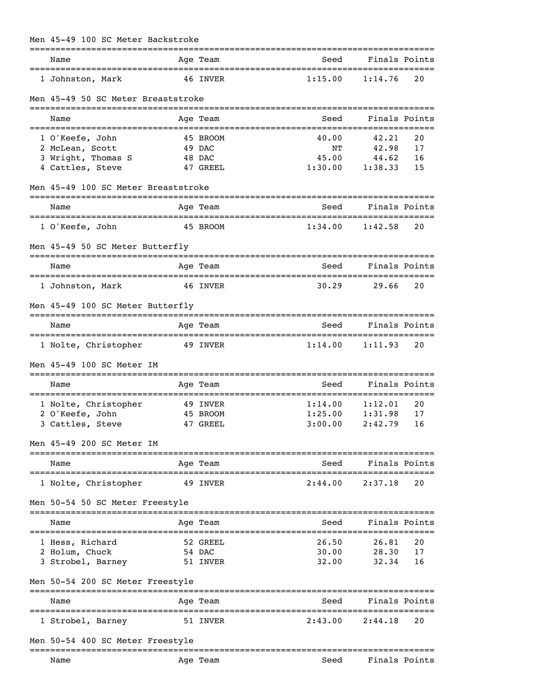## Men 45-49 100 SC Meter Backstroke

| Name                                      |                           | Age Team | Seed    | Finals Points                        |    |
|-------------------------------------------|---------------------------|----------|---------|--------------------------------------|----|
| 1 Johnston, Mark                          |                           | 46 INVER | 1:15.00 | 1:14.76                              | 20 |
| Men 45-49 50 SC Meter Breaststroke        |                           |          |         |                                      |    |
| Name                                      |                           | Age Team | Seed    | Finals Points                        |    |
| 1 O'Keefe, John                           |                           | 45 BROOM | 40.00   | 42.21                                | 20 |
| 2 McLean, Scott                           |                           | 49 DAC   | NΤ      | 42.98                                | 17 |
| 3 Wright, Thomas S                        |                           | 48 DAC   | 45.00   | 44.62                                | 16 |
| 4 Cattles, Steve                          |                           | 47 GREEL | 1:30.00 | 1:38.33                              | 15 |
| Men 45-49 100 SC Meter Breaststroke       | ========================= |          |         |                                      |    |
| Name                                      |                           | Age Team | Seed    | Finals Points                        |    |
| 1 O'Keefe, John                           |                           | 45 BROOM | 1:34.00 | 1:42.58                              | 20 |
| Men 45-49 50 SC Meter Butterfly           |                           |          |         |                                      |    |
| Name                                      |                           | Age Team | Seed    | Finals Points                        |    |
| 1 Johnston, Mark                          |                           | 46 INVER | 30.29   | 29.66                                | 20 |
| Men 45-49 100 SC Meter Butterfly          |                           |          |         |                                      |    |
| Name                                      |                           | Age Team | Seed    | Finals Points                        |    |
| 1 Nolte, Christopher                      |                           | 49 INVER | 1:14.00 | 1:11.93                              | 20 |
| Men 45-49 100 SC Meter IM                 |                           |          |         |                                      |    |
| Name                                      |                           | Age Team | Seed    | Finals Points<br>=================== |    |
| 1 Nolte, Christopher                      |                           | 49 INVER | 1:14.00 | 1:12.01                              | 20 |
| 2 O'Keefe, John                           |                           | 45 BROOM | 1:25.00 | 1:31.98                              | 17 |
| 3 Cattles, Steve                          |                           | 47 GREEL | 3:00.00 | 2:42.79                              | 16 |
| Men 45-49 200 SC Meter IM                 |                           |          |         |                                      |    |
| Name                                      |                           | Age Team | Seed    | Finals Points                        |    |
| 1 Nolte, Christopher                      |                           | 49 INVER | 2:44.00 | 2:37.18                              | 20 |
| Men 50-54 50 SC Meter Freestyle           |                           |          |         |                                      |    |
| Name                                      |                           | Age Team | Seed    | Finals Points                        |    |
| 1 Hess, Richard                           |                           | 52 GREEL | 26.50   | 26.81                                | 20 |
| 2 Holum, Chuck                            |                           | 54 DAC   | 30.00   | 28.30                                | 17 |
| 3 Strobel, Barney                         |                           | 51 INVER | 32.00   | 32.34                                | 16 |
| Men 50-54 200 SC Meter Freestyle          |                           |          |         |                                      |    |
| Name                                      |                           | Age Team | Seed    | =================<br>Finals Points   |    |
| ====================<br>1 Strobel, Barney |                           | 51 INVER | 2:43.00 | 2:44.18                              | 20 |
| Men 50-54 400 SC Meter Freestyle          |                           |          |         |                                      |    |
| Name                                      |                           | Age Team | Seed    | Finals Points                        |    |
|                                           |                           |          |         |                                      |    |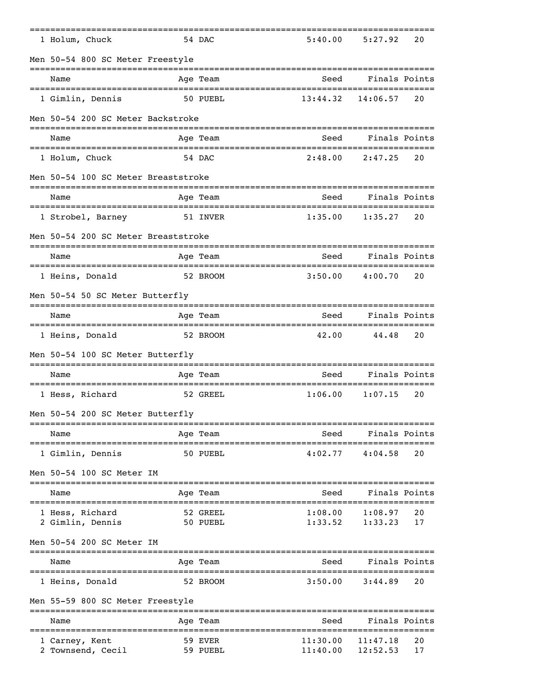| 1 Holum, Chuck                                        | 54 DAC      | 5:40.00  | 5:27.92                        | 20 |
|-------------------------------------------------------|-------------|----------|--------------------------------|----|
| Men 50-54 800 SC Meter Freestyle                      |             |          |                                |    |
| Name                                                  | Age Team    | Seed     | Finals Points                  |    |
| 1 Gimlin, Dennis                                      | 50 PUEBL    | 13:44.32 | ------------------<br>14:06.57 | 20 |
| Men 50-54 200 SC Meter Backstroke                     |             |          |                                |    |
| Name                                                  | Age Team    | Seed     | Finals Points                  |    |
| 1 Holum, Chuck                                        | 54 DAC      | 2:48.00  | 2:47.25                        | 20 |
| Men 50-54 100 SC Meter Breaststroke                   |             |          |                                |    |
| Name                                                  | Age Team    | Seed     | Finals Points                  |    |
| ================================<br>1 Strobel, Barney | 51 INVER    | 1:35.00  | 1:35.27                        | 20 |
| Men 50-54 200 SC Meter Breaststroke                   |             |          |                                |    |
| Name                                                  | Age Team    | Seed     | Finals Points                  |    |
| 1 Heins, Donald                                       | 52 BROOM    | 3:50.00  | 4:00.70                        | 20 |
| Men 50-54 50 SC Meter Butterfly                       |             |          |                                |    |
| Name                                                  | Age Team    | Seed     | Finals Points                  |    |
| 1 Heins, Donald                                       | 52 BROOM    | 42.00    | 44.48                          | 20 |
| Men 50-54 100 SC Meter Butterfly                      |             |          |                                |    |
| Name                                                  | Age Team    | Seed     | Finals Points                  |    |
| ==================================<br>1 Hess, Richard | 52 GREEL    | 1:06.00  | 1:07.15                        | 20 |
| Men 50-54 200 SC Meter Butterfly                      |             |          |                                |    |
| Name                                                  | Age Team    | Seed     | Finals Points                  |    |
| 1 Gimlin, Dennis                                      | 50 PUEBL    | 4:02.77  | 4:04.58                        | 20 |
| Men 50-54 100 SC Meter IM                             |             |          |                                |    |
| Name                                                  | Age Team    | Seed     | Finals Points                  |    |
| 1 Hess, Richard                                       | 52 GREEL    | 1:08.00  | 1:08.97                        | 20 |
| 2 Gimlin, Dennis                                      | 50 PUEBL    | 1:33.52  | 1:33.23                        | 17 |
| Men 50-54 200 SC Meter IM                             |             |          |                                |    |
| Name                                                  | Age Team    | Seed     | Finals Points                  |    |
| 1 Heins, Donald                                       | 52 BROOM    | 3:50.00  | 3:44.89                        | 20 |
| Men 55-59 800 SC Meter Freestyle                      | =========== |          |                                |    |
| Name                                                  | Age Team    | Seed     | Finals Points                  |    |
| 1 Carney, Kent                                        | 59 EVER     | 11:30.00 | ================<br>11:47.18   | 20 |
| 2 Townsend, Cecil                                     | 59 PUEBL    | 11:40.00 | 12:52.53                       | 17 |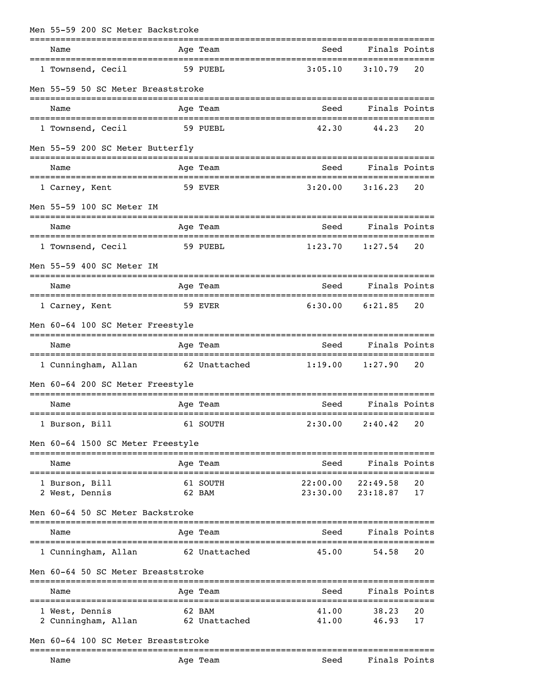| Men 55-59 200 SC Meter Backstroke     |                         |                |                |          |
|---------------------------------------|-------------------------|----------------|----------------|----------|
| Name                                  | Age Team                | Seed           | Finals Points  |          |
| 1 Townsend, Cecil                     | 59 PUEBL                | 3:05.10        | 3:10.79        | 20       |
| Men 55-59 50 SC Meter Breaststroke    |                         |                |                |          |
| Name                                  | Age Team                | Seed           | Finals Points  |          |
| 1 Townsend, Cecil                     | 59 PUEBL                | 42.30          | 44.23          | 20       |
| Men 55-59 200 SC Meter Butterfly      |                         |                |                |          |
| Name                                  | Age Team                | Seed           | Finals Points  |          |
| 1 Carney, Kent                        | 59 EVER                 | 3:20.00        | 3:16.23        | 20       |
| Men 55-59 100 SC Meter IM             |                         |                |                |          |
| Name                                  | Age Team                | Seed           | Finals Points  |          |
| 1 Townsend, Cecil                     | 59 PUEBL                | 1:23.70        | 1:27.54        | 20       |
| Men 55-59 400 SC Meter IM             |                         |                |                |          |
| Name                                  | Age Team                | Seed           | Finals Points  |          |
| 1 Carney, Kent                        | 59 EVER                 | 6:30.00        | 6:21.85        | 20       |
| Men 60-64 100 SC Meter Freestyle      |                         |                |                |          |
| Name                                  | Age Team                | Seed           | Finals Points  |          |
| 1 Cunningham, Allan 62 Unattached     |                         | 1:19.00        | 1:27.90        | 20       |
| Men 60-64 200 SC Meter Freestyle      |                         |                |                |          |
| Name                                  | Age Team                | Seed           | Finals Points  |          |
| 1 Burson, Bill                        | 61 SOUTH                | 2:30.00        | 2:40.42        | 20       |
| Men 60-64 1500 SC Meter Freestyle     |                         |                |                |          |
| Name                                  | Age Team                | Seed           | Finals Points  |          |
| 1 Burson, Bill                        | 61 SOUTH                | 22:00.00       | 22:49.58       | 20       |
| 2 West, Dennis                        | 62 BAM                  | 23:30.00       | 23:18.87       | 17       |
| Men 60-64 50 SC Meter Backstroke      |                         |                |                |          |
| Name                                  | Age Team                | Seed           | Finals Points  |          |
| 1 Cunningham, Allan                   | 62 Unattached           | 45.00          | 54.58          | 20       |
| Men 60-64 50 SC Meter Breaststroke    |                         |                |                |          |
| Name                                  | Age Team                | Seed           | Finals Points  |          |
| 1 West, Dennis<br>2 Cunningham, Allan | 62 BAM<br>62 Unattached | 41.00<br>41.00 | 38.23<br>46.93 | 20<br>17 |
| Men 60–64 100 SC Meter Breaststroke   |                         |                |                |          |
|                                       |                         |                |                |          |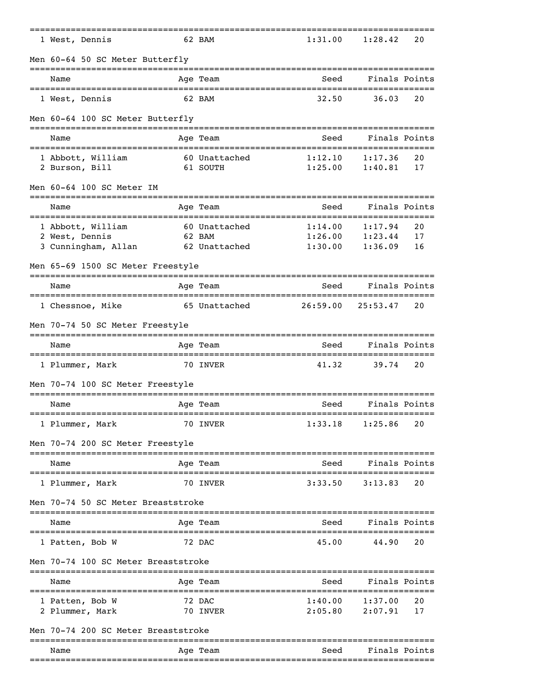| 1 West, Dennis                                       |                | 62 BAM                  | 1:31.00                              | 1:28.42                             | 20            |  |  |  |
|------------------------------------------------------|----------------|-------------------------|--------------------------------------|-------------------------------------|---------------|--|--|--|
| Men 60-64 50 SC Meter Butterfly                      |                |                         |                                      |                                     |               |  |  |  |
| Name                                                 |                | Age Team                | Seed                                 | Finals Points                       |               |  |  |  |
| 1 West, Dennis                                       |                | 62 BAM                  | 32.50                                | 36.03                               | 20            |  |  |  |
| Men 60-64 100 SC Meter Butterfly                     |                |                         |                                      |                                     |               |  |  |  |
| Name                                                 |                | Age Team                | Seed                                 |                                     | Finals Points |  |  |  |
| 1 Abbott, William                                    |                | 60 Unattached           | 1:12.10                              | 1:17.36                             | 20            |  |  |  |
| 2 Burson, Bill                                       |                | 61 SOUTH                | 1:25.00                              | 1:40.81                             | 17            |  |  |  |
| Men 60-64 100 SC Meter IM                            |                |                         |                                      |                                     |               |  |  |  |
| Name                                                 |                | Age Team                | Seed                                 | Finals Points                       |               |  |  |  |
| 1 Abbott, William<br>2 West, Dennis                  |                | 60 Unattached<br>62 BAM | 1:14.00<br>1:26.00                   | 1:17.94<br>1:23.44                  | 20<br>17      |  |  |  |
| 3 Cunningham, Allan                                  |                | 62 Unattached           | 1:30.00                              | 1:36.09                             | 16            |  |  |  |
| Men 65-69 1500 SC Meter Freestyle                    |                |                         |                                      |                                     |               |  |  |  |
| Name                                                 |                | Age Team                | Seed                                 | Finals Points                       |               |  |  |  |
| 1 Chessnoe, Mike                                     |                | 65 Unattached           | 26:59.00                             | 25:53.47                            | 20            |  |  |  |
| Men 70-74 50 SC Meter Freestyle                      |                |                         |                                      |                                     |               |  |  |  |
| Name                                                 |                | Age Team                | Seed                                 | Finals Points                       |               |  |  |  |
| =================================<br>1 Plummer, Mark |                | 70 INVER                | ====================<br>41.32        | 39.74                               | 20            |  |  |  |
| Men 70-74 100 SC Meter Freestyle                     |                |                         |                                      |                                     |               |  |  |  |
| Name                                                 | ============== | Age Team                | Seed<br>============================ | Finals Points                       |               |  |  |  |
| 1 Plummer, Mark                                      |                | 70 INVER                | 1:33.18                              | 1:25.86                             | 20            |  |  |  |
| Men 70-74 200 SC Meter Freestyle                     |                |                         |                                      |                                     |               |  |  |  |
| Name                                                 |                | Age Team                | Seed                                 | Finals Points                       |               |  |  |  |
| 1 Plummer, Mark                                      |                | 70 INVER                | 3:33.50                              | 3:13.83                             | 20            |  |  |  |
| Men 70-74 50 SC Meter Breaststroke                   |                |                         |                                      |                                     |               |  |  |  |
| Name                                                 |                | Age Team                | Seed                                 |                                     | Finals Points |  |  |  |
| 1 Patten, Bob W                                      |                | 72 DAC                  | 45.00                                | 44.90                               | 20            |  |  |  |
| Men 70-74 100 SC Meter Breaststroke                  |                |                         |                                      |                                     |               |  |  |  |
| Name                                                 |                | Age Team                | Seed                                 | ------------------<br>Finals Points |               |  |  |  |
| 1 Patten, Bob W                                      |                | 72 DAC                  | =====================<br>1:40.00     | ---------<br>1:37.00                | 20            |  |  |  |
| 2 Plummer, Mark                                      |                | 70 INVER                | 2:05.80                              | 2:07.91                             | 17            |  |  |  |
| Men 70-74 200 SC Meter Breaststroke                  |                |                         |                                      |                                     |               |  |  |  |
| Name                                                 |                | Age Team                | Seed                                 | Finals Points                       |               |  |  |  |
|                                                      |                |                         |                                      |                                     |               |  |  |  |